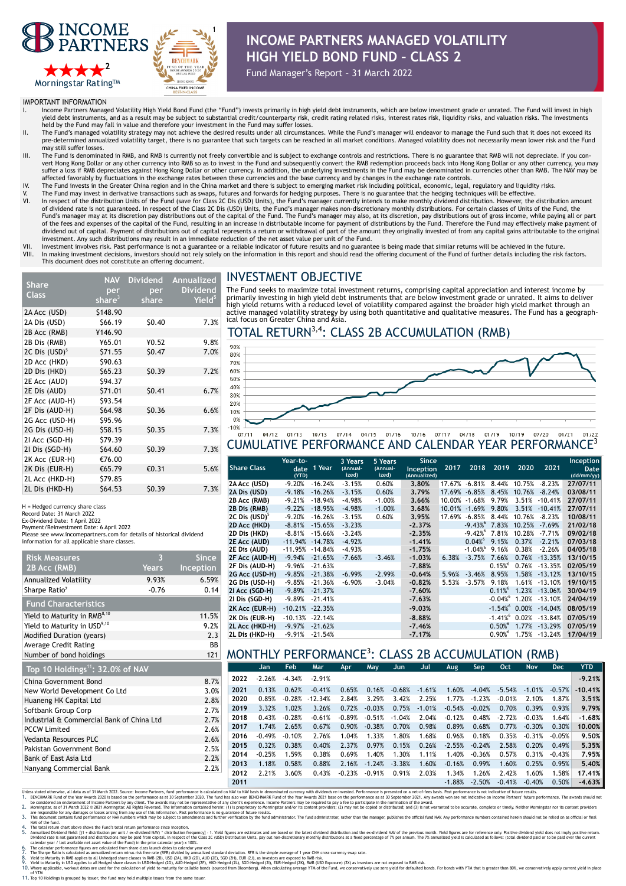



# **INCOME PARTNERS MANAGED VOLATILITY HIGH YIELD BOND FUND – CLASS 2**

Fund Manager's Report – 31 March 2022

IMPORTANT INFORMATION

- Income Partners Managed Volatility High Yield Bond Fund (the "Fund") invests primarily in high yield debt instruments, which are below investment grade or unrated. The Fund will invest in high yield debt instruments, and as a result may be subject to substantial credit/counterparty risk, credit rating related risks, interest rates risk, liquidity risks, and valuation risks. The investments
- held by the Fund may fall in value and therefore your investment in the Fund may suffer losses.<br>II. The Fund's managed volatility strategy may not achieve the desired results under all circumstances. While the Fund's manag pre-determined annualized volatility target, there is no guarantee that such targets can be reached in all market conditions. Managed volatility does not necessarily mean lower risk and the Fund may still suffer losses
- III. The Fund is denominated in RMB, and RMB is currently not freely convertible and is subject to exchange controls and restrictions. There is no guarantee that RMB will not depreciate. If you convert Hong Kong Dollar or any other currency into RMB so as to invest in the Fund and subsequently convert the RMB redemption proceeds back into Hong Kong Dollar or any other currency, you may suffer a loss if RMB depreciates against Hong Kong Dollar or other currency. In addition, the underlying investments in the Fund may be denominated in currencies other than RMB. The NAV may be
- affected favorably by fluctuations in the exchange rates between these currencies and the base currency and by changes in the exchange rate controls.<br>IV. The Fund invests in the Greater China region and in the China market
- V. The Fund may invest in derivative transactions such as swaps, futures and forwards for hedging purposes. There is no guarantee that the hedging techniques will be effective.<br>VI. In respect of the distribution of dividend rate is not guaranteed. In respect of the Class 2C Dis (USD) Units, the Fund's manager makes non-discretionary monthly distributions. For certain classes of Units of the Fund, the<br>Fund's manager may at its disc of the fees and expenses of the capital of the Fund, resulting in an increase in distributable income for payment of distributions by the Fund. Therefore the Fund may effectively make payment of dividend out of capital. Payment of distributions out of capital represents a return or withdrawal of part of the amount they originally invested of from any capital gains attributable to the original investment. Any such distributions may result in an immediate reduction of the net asset value per unit of the Fund.
- VII. Investment involves risk. Past performance is not a guarantee or a reliable indicator of future results and no guarantee is being made that similar returns will be achieved in the future future.<br>VIII. In making invest In making investment decisions, investors should not rely solely on the information in this report and should read the offering document of the Fund of further details including the risk factors. This document does not constitute an offering document.

#### **NAV Dividend Annualized Share per per Dividend Class share**<sup>3</sup> **Yield5 share** 2A Acc (USD) \$148.90 2A Dis (USD) \$66.19 \$0.40 7.3% 2B Acc (RMB) ¥146.90 2B Dis (RMB) ¥65.01 ¥0.52 9.8% 909 2C Dis (USD)<sup>5</sup> \$71.55 \$0.47 \$0.7.0% 80% 2D Acc (HKD) \$90.63 70% 2D Dis (HKD) \$65.23 \$0.39 7.2% 60% 50% 2E Acc (AUD) \$94.37 40% 2E Dis (AUD) \$71.01 \$0.41 6.7% 30% 2F Acc (AUD-H) \$93.54 20% 2F Dis (AUD-H) \$64.98 \$0.36 6.6% 10%  $0%$  $-10%$

|                | -----   | -----  |      |
|----------------|---------|--------|------|
| 2G Acc (USD-H) | \$95.96 |        |      |
| 2G Dis (USD-H) | \$58.15 | \$0.35 | 7.3% |
| 21 Acc (SGD-H) | \$79.39 |        |      |
| 21 Dis (SGD-H) | \$64.60 | \$0.39 | 7.3% |
| 2K Acc (EUR-H) | €76.00  |        |      |
| 2K Dis (EUR-H) | €65.79  | €0.31  | 5.6% |
| 2L Acc (HKD-H) | \$79.85 |        |      |
| 2L Dis (HKD-H) | \$64.53 | \$0.39 | 7.3% |

H = Hedged currency share class

Record Date: 31 March 2022

Ex-Dividend Date: 1 April 2022 Payment/Reinvestment Date: 6 April 2022

Please see www.incomepartners.com for details of historical dividend information for all applicable share classes.

| <b>Risk Measures</b>                     | З            | <b>Since</b> |
|------------------------------------------|--------------|--------------|
| 2B Acc (RMB)                             | <b>Years</b> | Inception    |
| Annualized Volatility                    | 9.93%        | 6.59%        |
| Sharpe Ratio <sup>7</sup>                | $-0.76$      | 0.14         |
| <b>Fund Characteristics</b>              |              |              |
| Yield to Maturity in RMB <sup>8,10</sup> |              | 11.5%        |
| Yield to Maturity in USD <sup>9,10</sup> | 9.2%         |              |
| Modified Duration (years)                | 2.3          |              |
| <b>Average Credit Rating</b>             |              | <b>BB</b>    |
| Number of bond holdings                  |              | 121          |
| Top 10 Holdings $11$ : 32.0% of NAV      |              |              |
|                                          |              |              |

| China Government Bond                     | 8.7% |
|-------------------------------------------|------|
| New World Development Co Ltd              | 3.0% |
| Huaneng HK Capital Ltd                    | 2.8% |
| Softbank Group Corp                       | 2.7% |
| Industrial & Commercial Bank of China Ltd | 2.7% |
| <b>PCCW Limited</b>                       | 2.6% |
| Vedanta Resources PLC                     | 2.6% |
| Pakistan Government Bond                  | 2.5% |
| Bank of East Asia Ltd                     | 2.2% |
| Nanyang Commercial Bank                   | 2.2% |

#### INVESTMENT OBJECTIVE

The Fund seeks to maximize total investment returns, comprising capital appreciation and interest income by primarily investing in high yield debt instruments that are below investment grade or unrated. It aims to deliver high yield returns with a reduced level of volatility compared against the broader high yield market through an<br>active managed volatility strategy by using both quantitative and qualitative measures. The Fund has a geograp

#### TOTAL RETURN3,4: CLASS 2B ACCUMULATION (RMB)



#### CUMULATIVE PERFORMANCE AND CALENDAR YEAR PERFORMANCE3

|                           | Year-to-      |           | 3 Years           | 5 Years           | <b>Since</b>              |        |          |                       |        |           | Inception          |
|---------------------------|---------------|-----------|-------------------|-------------------|---------------------------|--------|----------|-----------------------|--------|-----------|--------------------|
| <b>Share Class</b>        | date<br>(YTD) | 1 Year    | (Annual-<br>ized) | (Annual-<br>ized) | Inception<br>(Annualized) | 2017   | 2018     | 2019                  | 2020   | 2021      | Date<br>(dd/mm/yy) |
| 2A Acc (USD)              | $-9.20%$      | $-16.24%$ | $-3.15%$          | 0.60%             | 3.80%                     | 17.67% | $-6.81%$ | 8.44%                 | 10.75% | $-8.23%$  | 27/07/11           |
| 2A Dis (USD)              | $-9.18%$      | $-16.26%$ | $-3.15%$          | 0.60%             | 3.79%                     | 17.69% | $-6.85%$ | 8.45%                 | 10.76% | $-8.24%$  | 03/08/11           |
| 2B Acc (RMB)              | $-9.21%$      | $-18.94%$ | $-4.98%$          | $-1.00%$          | 3.66%                     | 10.00% | $-1.68%$ | 9.79%                 | 3.51%  | $-10.41%$ | 27/07/11           |
| 2B Dis (RMB)              | $-9.22%$      | $-18.95%$ | $-4.98%$          | $-1.00%$          | 3.68%                     | 10.01% | $-1.69%$ | 9.80%                 | 3.51%  | $-10.41%$ | 27/07/11           |
| 2C Dis (USD) <sup>5</sup> | $-9.20%$      | $-16.26%$ | $-3.15%$          | 0.60%             | 3.95%                     | 17.69% | $-6.85%$ | 8.44%                 | 10.76% | $-8.23%$  | 10/08/11           |
| 2D Acc (HKD)              | $-8.81%$      | $-15.65%$ | $-3.23%$          |                   | $-2.37%$                  |        | $-9.43%$ | 7.83%                 | 10.25% | $-7.69%$  | 21/02/18           |
| 2D Dis (HKD)              | $-8.81%$      | $-15.66%$ | $-3.24%$          |                   | $-2.35%$                  |        | $-9.42%$ | 7.81%                 | 10.28% | $-7.71%$  | 09/02/18           |
| 2E Acc (AUD)              | $-11.94%$     | $-14.78%$ | $-4.92%$          |                   | $-1.41%$                  |        | 0.04%    | 9.15%                 | 0.37%  | $-2.21%$  | 07/03/18           |
| 2E Dis (AUD)              | $-11.95%$     | $-14.84%$ | $-4.93%$          |                   | $-1.75%$                  |        | $-1.04%$ | 9.16%                 | 0.38%  | $-2.26%$  | 04/05/18           |
| 2F Acc (AUD-H)            | $-9.94%$      | $-21.65%$ | $-7.66%$          | $-3.46%$          | $-1.03%$                  | 6.38%  | $-3.75%$ | 7.66%                 | 0.76%  | $-13.35%$ | 13/10/15           |
| 2F Dis (AUD-H)            | $-9.96%$      | $-21.63%$ |                   |                   | $-7.88%$                  |        |          | 0.15%                 | 0.76%  | $-13.35%$ | 02/05/19           |
| 2G Acc (USD-H)            | $-9.85%$      | $-21.38%$ | $-6.99%$          | $-2.99%$          | $-0.64%$                  | 5.96%  | $-3.46%$ | 8.95%                 | 1.58%  | $-13.12%$ | 13/10/15           |
| 2G Dis (USD-H)            | $-9.85%$      | $-21.36%$ | $-6.90%$          | $-3.04%$          | $-0.82%$                  | 5.53%  | $-3.57%$ | 9.18%                 | 1.61%  | $-13.10%$ | 19/10/15           |
| 21 Acc (SGD-H)            | $-9.89%$      | $-21.37%$ |                   |                   | $-7.60%$                  |        |          | $0.11\%$ <sup>6</sup> | 1.23%  | $-13.06%$ | 30/04/19           |
| 21 Dis (SGD-H)            | $-9.89%$      | $-21.41%$ |                   |                   | $-7.63%$                  |        |          | $-0.04%$              | 1.20%  | $-13.10%$ | 24/04/19           |
| 2K Acc (EUR-H)            | $-10.21%$     | $-22.35%$ |                   |                   | $-9.03%$                  |        |          | $-1.54%$              | 0.00%  | $-14.04%$ | 08/05/19           |
| 2K Dis (EUR-H)            | $-10.13%$     | $-22.14%$ |                   |                   | $-8.88%$                  |        |          | $-1.41%$              | 0.02%  | $-13.84%$ | 07/05/19           |
| 2L Acc (HKD-H)            | $-9.97%$      | $-21.62%$ |                   |                   | $-7.46%$                  |        |          | $0.50\%$              | 1.77%  | $-13.29%$ | 07/05/19           |
| 2L Dis (HKD-H)            | $-9.91%$      | $-21.54%$ |                   |                   | $-7.17%$                  |        |          | 0.90%                 | 1.75%  | $-13.24%$ | 17/04/19           |

### MONTHLY PERFORMANCE3 : CLASS 2B ACCUMULATION (RMB)

|     |      |      | Jan      | Feb      | Mar       | Apr      | May      | Jun      | Jul      | Aug      | Sep      | <b>Oct</b> | <b>Nov</b> | <b>Dec</b> | <b>YTD</b> |
|-----|------|------|----------|----------|-----------|----------|----------|----------|----------|----------|----------|------------|------------|------------|------------|
|     | 8.7% | 2022 | $-2.26%$ | $-4.34%$ | $-2.91%$  |          |          |          |          |          |          |            |            |            | $-9.21%$   |
|     | 3.0% | 2021 | 0.13%    | 0.62%    | $-0.41%$  | 0.65%    | 0.16%    | $-0.68%$ | $-1.61%$ | 1.60%    | $-4.04%$ | $-5.54%$   | $-1.01%$   | $-0.57%$   | $-10.41%$  |
|     | 2.8% | 2020 | 0.85%    | $-0.28%$ | $-12.34%$ | 2.84%    | 3.29%    | 3.42%    | 2.25%    | 1.77%    | $-1.23%$ | $-0.01%$   | 2.10%      | 1.87%      | 3.51%      |
|     | 2.7% | 2019 | 3.32%    | 1.02%    | 3.26%     | 0.72%    | $-0.03%$ | 0.75%    | $-1.01%$ | $-0.54%$ | $-0.02%$ | 0.70%      | 0.39%      | 0.93%      | 9.79%      |
| Ltd | 2.7% | 2018 | 0.43%    | $-0.28%$ | $-0.61%$  | $-0.89%$ | $-0.51%$ | $-1.04%$ | 2.04%    | $-0.12%$ | 0.48%    | $-2.72%$   | $-0.03%$   | 1.64%      | $-1.68%$   |
|     | 2.6% | 2017 | 1.74%    | 2.65%    | 0.67%     | 0.90%    | $-0.38%$ | 0.70%    | 0.98%    | 0.89%    | 0.68%    | 0.77%      | $-0.30%$   | 0.30%      | 10.00%     |
|     | 2.6% | 2016 | $-0.49%$ | $-0.10%$ | 2.76%     | 1.04%    | 1.33%    | 1.80%    | 1.68%    | 0.96%    | 0.18%    | 0.35%      | $-0.31%$   | $-0.05%$   | 9.50%      |
|     | 2.5% | 2015 | 0.32%    | 0.38%    | 0.40%     | 2.37%    | 0.97%    | 0.15%    | 0.26%    | $-2.55%$ | $-0.24%$ | 2.58%      | 0.20%      | 0.49%      | 5.35%      |
|     | 2.2% | 2014 | $-0.25%$ | 1.59%    | 0.38%     | 0.69%    | 1.40%    | 1.30%    | 1.11%    | 1.40%    | $-0.36%$ | 0.57%      | 0.31%      | $-0.43%$   | 7.95%      |
|     | 2.2% | 2013 | 1.18%    | 0.58%    | 0.88%     | 2.16%    | $-1.24%$ | $-3.38%$ | 1.60%    | $-0.16%$ | 0.99%    | 1.60%      | 0.25%      | 0.95%      | 5.40%      |
|     |      | 2012 | 2.21%    | 3.60%    | 0.43%     | $-0.23%$ | $-0.91%$ | 0.91%    | 2.03%    | 1.34%    | 1.26%    | 2.42%      | 1.60%      | 1.58%      | 17.41%     |
|     |      | 2011 |          |          |           |          |          |          |          | $-1.88%$ | $-2.50%$ | $-0.41%$   | $-0.40%$   | 0.50%      | $-4.63%$   |

Units stated oberwies, all data as 13 March 2022 is buen the performance as at 30 September 2020. The fund has also won BENCHMARK Fund of the Year Awards 2021 base on the performance as at 30 September 2021. Any awards won

NW of the fund.<br>4. The total return chart above shows the Fund's total return performance since inception.<br>5. Annualtzed Dividend Well: (I + distributions may be paid from capital. In respect of the Class 2C (USD) Distribu

9. Yield to Maturity in US applies to all Hedged share classes in US-Hedged (2G), AID-Hedged (2F), HiD-Hedged (2D), SCD-Hedged (2D), EUR-Hedged (2N), Bulk and the Calculation of yield to maturity for callable bonds (source

of YTM 11. Top 10 Holdings is grouped by issuer, the fund may hold multiple issues from the same issuer.